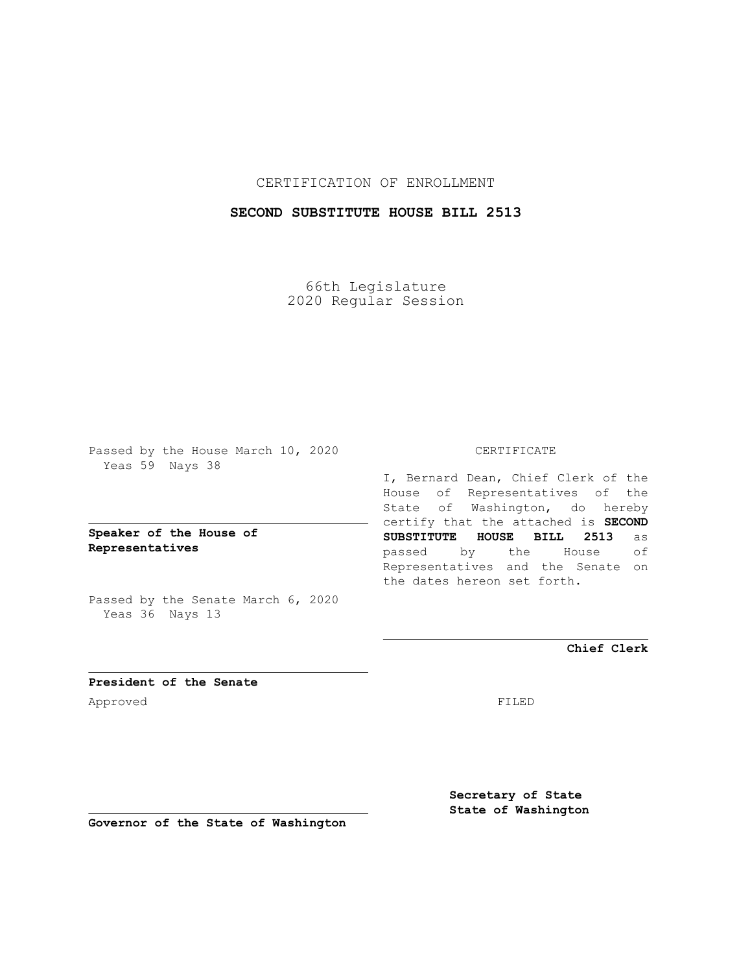CERTIFICATION OF ENROLLMENT

## **SECOND SUBSTITUTE HOUSE BILL 2513**

66th Legislature 2020 Regular Session

Passed by the House March 10, 2020 Yeas 59 Nays 38

**Speaker of the House of Representatives**

Passed by the Senate March 6, 2020 Yeas 36 Nays 13

## CERTIFICATE

I, Bernard Dean, Chief Clerk of the House of Representatives of the State of Washington, do hereby certify that the attached is **SECOND SUBSTITUTE HOUSE BILL 2513** as passed by the House of Representatives and the Senate on the dates hereon set forth.

**Chief Clerk**

**President of the Senate** Approved FILED

**Secretary of State State of Washington**

**Governor of the State of Washington**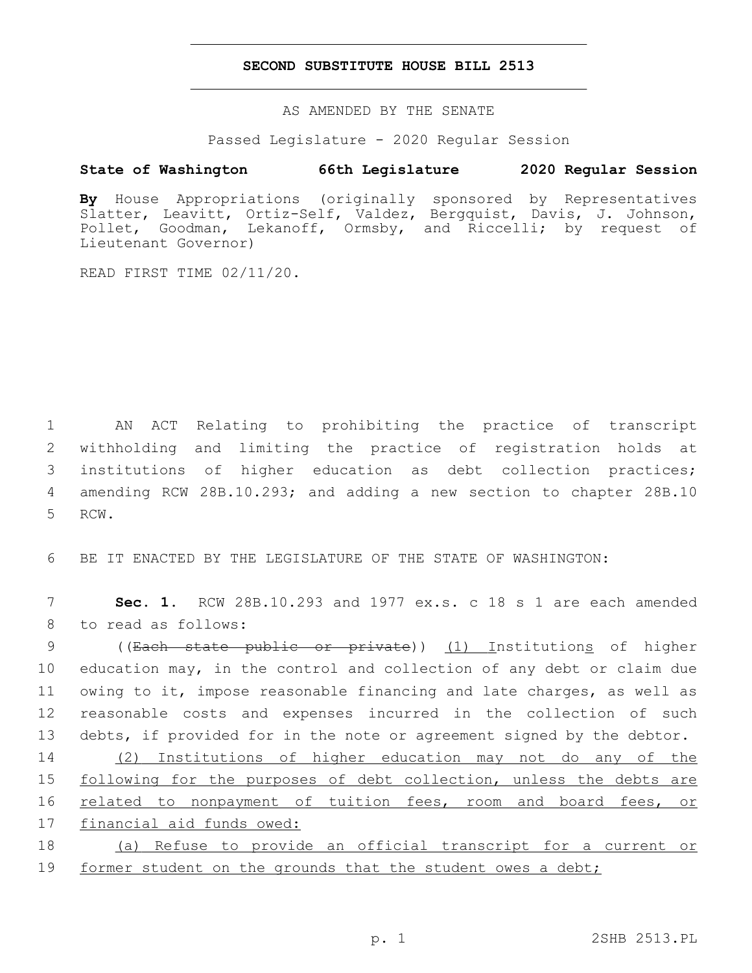## **SECOND SUBSTITUTE HOUSE BILL 2513**

AS AMENDED BY THE SENATE

Passed Legislature - 2020 Regular Session

## **State of Washington 66th Legislature 2020 Regular Session**

**By** House Appropriations (originally sponsored by Representatives Slatter, Leavitt, Ortiz-Self, Valdez, Bergquist, Davis, J. Johnson, Pollet, Goodman, Lekanoff, Ormsby, and Riccelli; by request of Lieutenant Governor)

READ FIRST TIME 02/11/20.

 AN ACT Relating to prohibiting the practice of transcript withholding and limiting the practice of registration holds at institutions of higher education as debt collection practices; amending RCW 28B.10.293; and adding a new section to chapter 28B.10 5 RCW.

6 BE IT ENACTED BY THE LEGISLATURE OF THE STATE OF WASHINGTON:

7 **Sec. 1.** RCW 28B.10.293 and 1977 ex.s. c 18 s 1 are each amended 8 to read as follows:

 ((Each state public or private)) (1) Institutions of higher education may, in the control and collection of any debt or claim due owing to it, impose reasonable financing and late charges, as well as reasonable costs and expenses incurred in the collection of such debts, if provided for in the note or agreement signed by the debtor.

 (2) Institutions of higher education may not do any of the following for the purposes of debt collection, unless the debts are related to nonpayment of tuition fees, room and board fees, or financial aid funds owed:

18 (a) Refuse to provide an official transcript for a current or 19 former student on the grounds that the student owes a debt;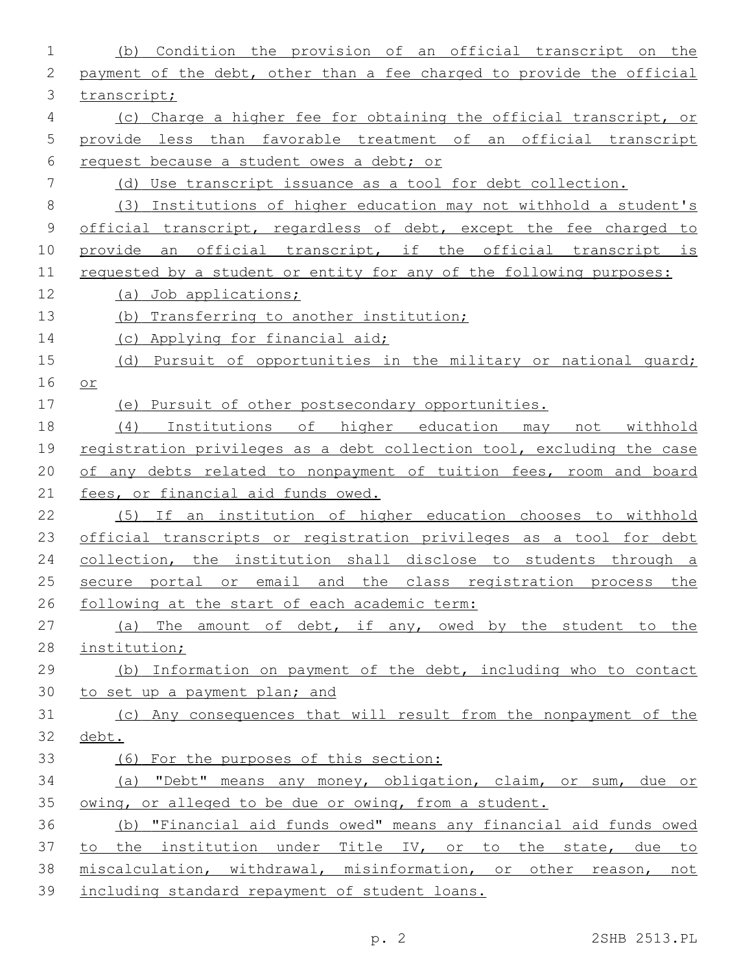| $\mathbf 1$    | Condition the provision of an official transcript<br>on the<br>(b)    |
|----------------|-----------------------------------------------------------------------|
| $\mathbf{2}$   | payment of the debt, other than a fee charged to provide the official |
| 3              | transcript;                                                           |
| $\overline{4}$ | (c) Charge a higher fee for obtaining the official transcript, or     |
| 5              | provide less than favorable treatment of an official transcript       |
| 6              | request because a student owes a debt; or                             |
| 7              | (d) Use transcript issuance as a tool for debt collection.            |
| $\,8\,$        | (3) Institutions of higher education may not withhold a student's     |
| $\mathsf 9$    | official transcript, regardless of debt, except the fee charged to    |
| 10             | provide an official transcript, if the official transcript is         |
| 11             | requested by a student or entity for any of the following purposes:   |
| 12             | (a) Job applications;                                                 |
| 13             | (b) Transferring to another institution;                              |
| 14             | (c) Applying for financial aid;                                       |
| 15             | (d) Pursuit of opportunities in the military or national quard;       |
| 16             | O <sub>L</sub>                                                        |
| 17             | (e) Pursuit of other postsecondary opportunities.                     |
| 18             | Institutions of higher education may<br>not withhold<br>(4)           |
| 19             | registration privileges as a debt collection tool, excluding the case |
| 20             | of any debts related to nonpayment of tuition fees, room and board    |
| 21             | fees, or financial aid funds owed.                                    |
| 22             | (5) If an institution of higher education chooses to withhold         |
| 23             | official transcripts or registration privileges as a tool for debt    |
| 24             | collection, the institution shall disclose to students through a      |
| 25             | secure portal or email and the class registration process the         |
| 26             | following at the start of each academic term:                         |
| 27             | (a) The amount of debt, if any, owed by the student to the            |
| 28             | institution;                                                          |
| 29             | (b) Information on payment of the debt, including who to contact      |
| 30             | to set up a payment plan; and                                         |
| 31             | (c) Any consequences that will result from the nonpayment of the      |
| 32             | debt.                                                                 |
| 33             | (6) For the purposes of this section:                                 |
| 34             | (a) "Debt" means any money, obligation, claim, or sum, due or         |
| 35             | owing, or alleged to be due or owing, from a student.                 |
| 36             | (b) "Financial aid funds owed" means any financial aid funds owed     |
| 37             | to the institution under Title IV, or to the state, due to            |
| 38             | miscalculation, withdrawal, misinformation, or other reason, not      |
| 39             | including standard repayment of student loans.                        |